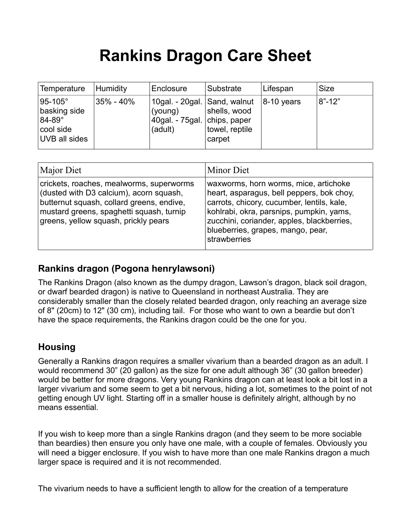# **Rankins Dragon Care Sheet**

| Temperature                                                                          | Humidity  | Enclosure                                                                            | Substrate                                | Lifespan      | <b>Size</b> |
|--------------------------------------------------------------------------------------|-----------|--------------------------------------------------------------------------------------|------------------------------------------|---------------|-------------|
| $95-105^\circ$<br>basking side<br>$84-89^\circ$<br>cool side<br><b>UVB all sides</b> | 35% - 40% | 10gal. - 20gal. Sand, walnut<br>(young)<br>40gal. - 75gal.   chips, paper<br>(adult) | shells, wood<br>towel, reptile<br>carpet | $ 8-10$ years | $8" - 12"$  |

| Major Diet                                                                                                                                                                                                           | Minor Diet                                                                                                                                                                                                                                                                      |
|----------------------------------------------------------------------------------------------------------------------------------------------------------------------------------------------------------------------|---------------------------------------------------------------------------------------------------------------------------------------------------------------------------------------------------------------------------------------------------------------------------------|
| crickets, roaches, mealworms, superworms<br>(dusted with D3 calcium), acorn squash,<br>butternut squash, collard greens, endive,<br>mustard greens, spaghetti squash, turnip<br>greens, yellow squash, prickly pears | waxworms, horn worms, mice, artichoke<br>heart, asparagus, bell peppers, bok choy,<br>carrots, chicory, cucumber, lentils, kale,<br>kohlrabi, okra, parsnips, pumpkin, yams,<br>zucchini, coriander, apples, blackberries,<br>blueberries, grapes, mango, pear,<br>strawberries |

### **Rankins dragon (Pogona henrylawsoni)**

The Rankins Dragon (also known as the dumpy dragon, Lawson's dragon, black soil dragon, or dwarf bearded dragon) is native to Queensland in northeast Australia. They are considerably smaller than the closely related bearded dragon, only reaching an average size of 8" (20cm) to 12" (30 cm), including tail. For those who want to own a beardie but don't have the space requirements, the Rankins dragon could be the one for you.

#### **Housing**

Generally a Rankins dragon requires a smaller vivarium than a bearded dragon as an adult. I would recommend 30" (20 gallon) as the size for one adult although 36" (30 gallon breeder) would be better for more dragons. Very young Rankins dragon can at least look a bit lost in a larger vivarium and some seem to get a bit nervous, hiding a lot, sometimes to the point of not getting enough UV light. Starting off in a smaller house is definitely alright, although by no means essential.

If you wish to keep more than a single Rankins dragon (and they seem to be more sociable than beardies) then ensure you only have one male, with a couple of females. Obviously you will need a bigger enclosure. If you wish to have more than one male Rankins dragon a much larger space is required and it is not recommended.

The vivarium needs to have a sufficient length to allow for the creation of a temperature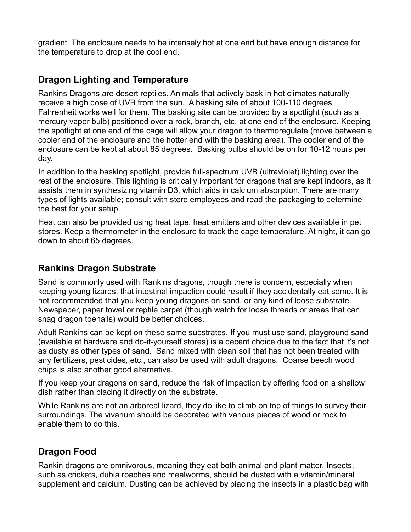gradient. The enclosure needs to be intensely hot at one end but have enough distance for the temperature to drop at the cool end.

#### **Dragon Lighting and Temperature**

Rankins Dragons are desert reptiles. Animals that actively bask in hot climates naturally receive a high dose of UVB from the sun. A basking site of about 100-110 degrees Fahrenheit works well for them. The basking site can be provided by a spotlight (such as a mercury vapor bulb) positioned over a rock, branch, etc. at one end of the enclosure. Keeping the spotlight at one end of the cage will allow your dragon to thermoregulate (move between a cooler end of the enclosure and the hotter end with the basking area). The cooler end of the enclosure can be kept at about 85 degrees. Basking bulbs should be on for 10-12 hours per day.

In addition to the basking spotlight, provide full-spectrum UVB (ultraviolet) lighting over the rest of the enclosure. This lighting is critically important for dragons that are kept indoors, as it assists them in synthesizing vitamin D3, which aids in calcium absorption. There are many types of lights available; consult with store employees and read the packaging to determine the best for your setup.

Heat can also be provided using heat tape, heat emitters and other devices available in pet stores. Keep a thermometer in the enclosure to track the cage temperature. At night, it can go down to about 65 degrees.

### **Rankins Dragon Substrate**

Sand is commonly used with Rankins dragons, though there is concern, especially when keeping young lizards, that intestinal impaction could result if they accidentally eat some. It is not recommended that you keep young dragons on sand, or any kind of loose substrate. Newspaper, paper towel or reptile carpet (though watch for loose threads or areas that can snag dragon toenails) would be better choices.

Adult Rankins can be kept on these same substrates. If you must use sand, playground sand (available at hardware and do-it-yourself stores) is a decent choice due to the fact that it's not as dusty as other types of sand. Sand mixed with clean soil that has not been treated with any fertilizers, pesticides, etc., can also be used with adult dragons. Coarse beech wood chips is also another good alternative.

If you keep your dragons on sand, reduce the risk of impaction by offering food on a shallow dish rather than placing it directly on the substrate.

While Rankins are not an arboreal lizard, they do like to climb on top of things to survey their surroundings. The vivarium should be decorated with various pieces of wood or rock to enable them to do this.

## **Dragon Food**

Rankin dragons are omnivorous, meaning they eat both animal and plant matter. Insects, such as crickets, dubia roaches and mealworms, should be dusted with a vitamin/mineral supplement and calcium. Dusting can be achieved by placing the insects in a plastic bag with